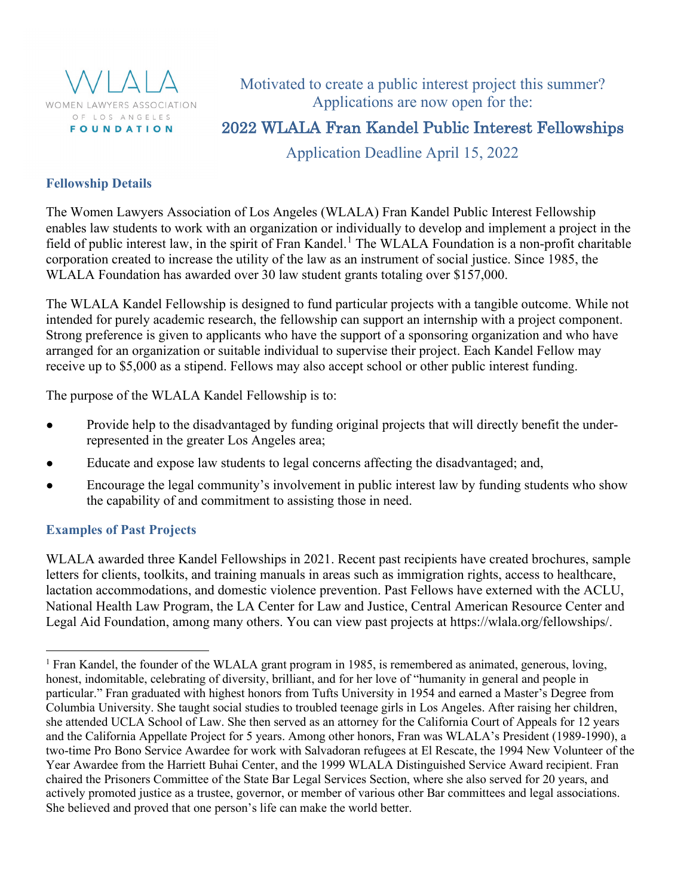

Motivated to create a public interest project this summer? Applications are now open for the:

# 2022 WLALA Fran Kandel Public Interest Fellowships

Application Deadline April 15, 2022

## **Fellowship Details**

The Women Lawyers Association of Los Angeles (WLALA) Fran Kandel Public Interest Fellowship enables law students to work with an organization or individually to develop and implement a project in the field of public interest law, in the spirit of Fran Kandel.<sup>[1](#page-0-0)</sup> The WLALA Foundation is a non-profit charitable corporation created to increase the utility of the law as an instrument of social justice. Since 1985, the WLALA Foundation has awarded over 30 law student grants totaling over \$157,000.

The WLALA Kandel Fellowship is designed to fund particular projects with a tangible outcome. While not intended for purely academic research, the fellowship can support an internship with a project component. Strong preference is given to applicants who have the support of a sponsoring organization and who have arranged for an organization or suitable individual to supervise their project. Each Kandel Fellow may receive up to \$5,000 as a stipend. Fellows may also accept school or other public interest funding.

The purpose of the WLALA Kandel Fellowship is to:

- Provide help to the disadvantaged by funding original projects that will directly benefit the underrepresented in the greater Los Angeles area;
- Educate and expose law students to legal concerns affecting the disadvantaged; and,
- Encourage the legal community's involvement in public interest law by funding students who show the capability of and commitment to assisting those in need.

## **Examples of Past Projects**

WLALA awarded three Kandel Fellowships in 2021. Recent past recipients have created brochures, sample letters for clients, toolkits, and training manuals in areas such as immigration rights, access to healthcare, lactation accommodations, and domestic violence prevention. Past Fellows have externed with the ACLU, National Health Law Program, the LA Center for Law and Justice, Central American Resource Center and Legal Aid Foundation, among many others. You can view past projects at https://wlala.org/fellowships/.

<span id="page-0-0"></span><sup>&</sup>lt;sup>1</sup> Fran Kandel, the founder of the WLALA grant program in 1985, is remembered as animated, generous, loving, honest, indomitable, celebrating of diversity, brilliant, and for her love of "humanity in general and people in particular." Fran graduated with highest honors from Tufts University in 1954 and earned a Master's Degree from Columbia University. She taught social studies to troubled teenage girls in Los Angeles. After raising her children, she attended UCLA School of Law. She then served as an attorney for the California Court of Appeals for 12 years and the California Appellate Project for 5 years. Among other honors, Fran was WLALA's President (1989-1990), a two-time Pro Bono Service Awardee for work with Salvadoran refugees at El Rescate, the 1994 New Volunteer of the Year Awardee from the Harriett Buhai Center, and the 1999 WLALA Distinguished Service Award recipient. Fran chaired the Prisoners Committee of the State Bar Legal Services Section, where she also served for 20 years, and actively promoted justice as a trustee, governor, or member of various other Bar committees and legal associations. She believed and proved that one person's life can make the world better.